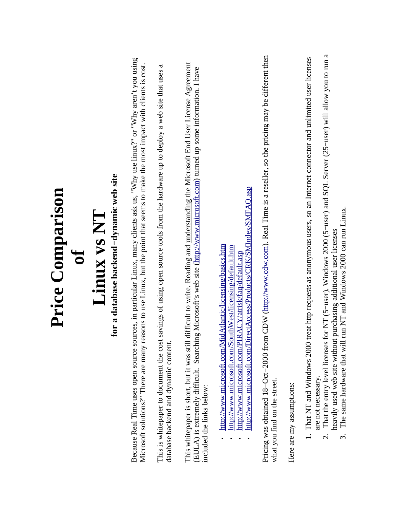| <b>Price Comparison</b>                                                                                                                                                                                                                                                                                                                                                                                                                                          |
|------------------------------------------------------------------------------------------------------------------------------------------------------------------------------------------------------------------------------------------------------------------------------------------------------------------------------------------------------------------------------------------------------------------------------------------------------------------|
|                                                                                                                                                                                                                                                                                                                                                                                                                                                                  |
| Linux vs NT                                                                                                                                                                                                                                                                                                                                                                                                                                                      |
| for a database backend-dynamic web site                                                                                                                                                                                                                                                                                                                                                                                                                          |
| Because Real Time uses open source sources, in particular Linux, many clients ask us, "Why use linux?" or "Why aren't you using<br>Microsoft solutions?" There are many reasons to use Linux, but the point that seems to make the most impact with clients is cost.                                                                                                                                                                                             |
| a<br>savings of using open source tools from the hardware up to deploy a web site that uses<br>This is whitepaper to document the cost<br>database backend and dynamic content.                                                                                                                                                                                                                                                                                  |
| difficult to write. Reading and understanding the Microsoft End User License Agreement<br>(EULA) is extremely difficult. Searching Microsoft's web site (http://www.microsoft.com) turned up some information. I have<br>This whitepaper is short, but it was still<br>included the links below:                                                                                                                                                                 |
| http://www.microsoft.com/DirectAccess/Products/CRK/SMIndex/SMFAQ.asp<br>idAtlantic/licensing/basics.htm<br>http://www.microsoft.com/SouthWest/licensing/default.htm<br>http://www.microsoft.com/PIRACY/atrisk/faq/default.asp<br>http://www.microsoft.com/M                                                                                                                                                                                                      |
| Pricing was obtained 18-Oct-2000 from CDW (http://www.cdw.com). Real Time is a reseller, so the pricing may be different then<br>what you find on the street.                                                                                                                                                                                                                                                                                                    |
| Here are my assumptions:                                                                                                                                                                                                                                                                                                                                                                                                                                         |
| for NT (5-user), Windows 2000 (5-user) and SQL Server (25-user) will allow you to run a<br>treat http requests as anonymous users, so an Internet connector and unlimited user licenses<br>run NT and Windows 2000 can run Linux.<br>heavily used web site without purchasing additional user licenses<br>That the entry level licenses<br>The same hardware that will<br>That NT and Windows 2000<br>are not necessary.<br>$\dot{\mathfrak{c}}$<br>$\dot{\sim}$ |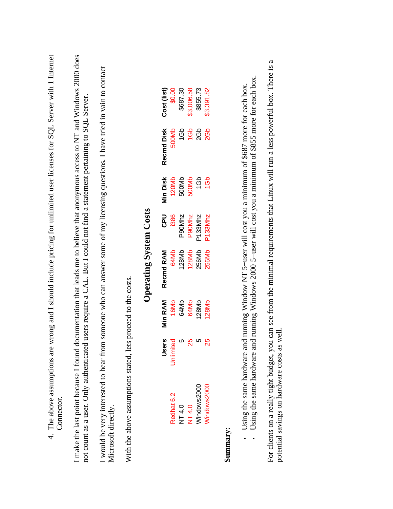| Connector.                                                                                                                                                                |              |                |                                                                                                                                                                 |                     |          |                 | 4. The above assumptions are wrong and I should include pricing for unlimited user licenses for SQL Server with 1 Internet |
|---------------------------------------------------------------------------------------------------------------------------------------------------------------------------|--------------|----------------|-----------------------------------------------------------------------------------------------------------------------------------------------------------------|---------------------|----------|-----------------|----------------------------------------------------------------------------------------------------------------------------|
| I make the last point because I found documentation that leads me to believe that anonymous access to NT and Windows 2000 does<br>not count as a user. Only authenticated |              |                | users require a CAL. But I could not find a statement pertaining to SQL Server.                                                                                 |                     |          |                 |                                                                                                                            |
| I would be very interested to hear from<br>Microsoft directly.                                                                                                            |              |                |                                                                                                                                                                 |                     |          |                 | someone who can answer some of my licensing questions. I have tried in vain to contact                                     |
| With the above assumptions stated, lets proceed to the costs.                                                                                                             |              |                |                                                                                                                                                                 |                     |          |                 |                                                                                                                            |
|                                                                                                                                                                           |              |                | <b>Operating System Costs</b>                                                                                                                                   |                     |          |                 |                                                                                                                            |
|                                                                                                                                                                           | <b>Users</b> | <b>Min RAM</b> | Recmd RAM                                                                                                                                                       | <b>UdC</b>          | Min Disk | Recmd Disk      | Cost (list)                                                                                                                |
| Redhat 6.2                                                                                                                                                                | Unlimited    | 16Mb           | 64Mb                                                                                                                                                            | 1386                | 120Mb    | 500Mb           | \$0.00                                                                                                                     |
| NT 4.0                                                                                                                                                                    | Ю            | 64Mb           | 128Mb                                                                                                                                                           | P90Mhz              | 500Mb    | 1Gb             | \$687.30                                                                                                                   |
| NT 4.0                                                                                                                                                                    | 25           | 64Mb           | 128Mb                                                                                                                                                           | P90Mhz              | 500Mb    | 1Gb             | \$3,006.58                                                                                                                 |
| Windows2000                                                                                                                                                               | Ю            | 128Mb          | 256Mb                                                                                                                                                           | P133Mhz             | 1Gb      | 2Gb             | \$855.73                                                                                                                   |
| Windows2000                                                                                                                                                               | 25           | 128Mb          | 256Mb                                                                                                                                                           | P <sub>133Mhz</sub> | 1Gb      | 26 <sub>b</sub> | \$3,391.82                                                                                                                 |
| Summary:                                                                                                                                                                  |              |                |                                                                                                                                                                 |                     |          |                 |                                                                                                                            |
| Using the same hardware and<br>Using the same hardware and                                                                                                                |              |                | running Windows 2000 5-user will cost you a minimum of \$855 more for each box.<br>running Window NT 5-user will cost you a minimum of \$687 more for each box. |                     |          |                 |                                                                                                                            |
| For clients on a really tight budget, you                                                                                                                                 |              |                |                                                                                                                                                                 |                     |          |                 | can see from the minimal requirements that Linux will run a less powerful box. There is a                                  |

## **Summary:**

For clients on a really tight budget, you can see from the minimal requirements that Linux will run a less powerful box. There is a continuing continuing the seed of the seed of the seed of the seed of the seed of the seed For clients on a really tight budget, you can<br>potential savings on hardware costs as well. potential savings on hardware costs as well.